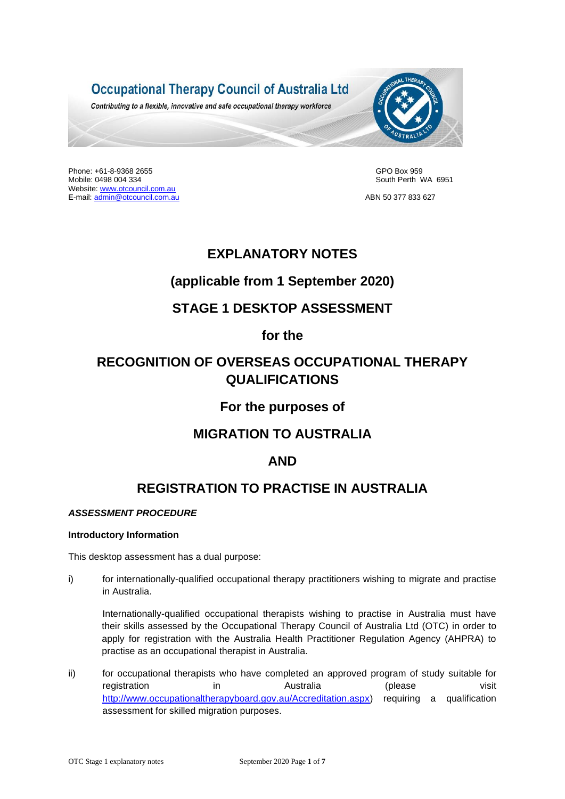

Phone: +61-8-9368 2655 GPO Box 959<br>Mobile: 0498 004 334 GPO Box 959 GPO Box 959 GPO Box 959 GPO Box 959 GPO Box 959 Website[: www.otcouncil.com.au](http://www.otcouncil.com.au/)  E-mail: [admin@otcouncil.com.au](mailto:admin@otcouncil.com.au) ABN 50 377 833 627

South Perth WA 6951

# **EXPLANATORY NOTES**

# **(applicable from 1 September 2020)**

# **STAGE 1 DESKTOP ASSESSMENT**

# **for the**

# **RECOGNITION OF OVERSEAS OCCUPATIONAL THERAPY QUALIFICATIONS**

# **For the purposes of**

# **MIGRATION TO AUSTRALIA**

# **AND**

# **REGISTRATION TO PRACTISE IN AUSTRALIA**

# *ASSESSMENT PROCEDURE*

## **Introductory Information**

This desktop assessment has a dual purpose:

i) for internationally-qualified occupational therapy practitioners wishing to migrate and practise in Australia.

Internationally-qualified occupational therapists wishing to practise in Australia must have their skills assessed by the Occupational Therapy Council of Australia Ltd (OTC) in order to apply for registration with the Australia Health Practitioner Regulation Agency (AHPRA) to practise as an occupational therapist in Australia.

ii) for occupational therapists who have completed an approved program of study suitable for registration in australia (please visit [http://www.occupationaltherapyboard.gov.au/Accreditation.aspx\)](http://www.occupationaltherapyboard.gov.au/Accreditation.aspx) requiring a qualification assessment for skilled migration purposes.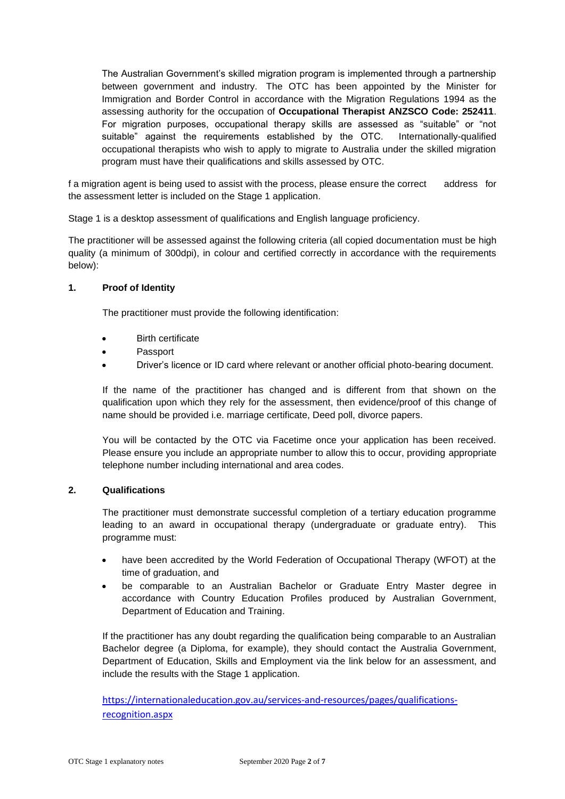The Australian Government's skilled migration program is implemented through a partnership between government and industry. The OTC has been appointed by the Minister for Immigration and Border Control in accordance with the Migration Regulations 1994 as the assessing authority for the occupation of **Occupational Therapist ANZSCO Code: 252411**. For migration purposes, occupational therapy skills are assessed as "suitable" or "not suitable" against the requirements established by the OTC. Internationally-qualified occupational therapists who wish to apply to migrate to Australia under the skilled migration program must have their qualifications and skills assessed by OTC.

f a migration agent is being used to assist with the process, please ensure the correct address for the assessment letter is included on the Stage 1 application.

Stage 1 is a desktop assessment of qualifications and English language proficiency.

The practitioner will be assessed against the following criteria (all copied documentation must be high quality (a minimum of 300dpi), in colour and certified correctly in accordance with the requirements below):

## **1. Proof of Identity**

The practitioner must provide the following identification:

- **Birth certificate**
- Passport
- Driver's licence or ID card where relevant or another official photo-bearing document.

If the name of the practitioner has changed and is different from that shown on the qualification upon which they rely for the assessment, then evidence/proof of this change of name should be provided i.e. marriage certificate, Deed poll, divorce papers.

You will be contacted by the OTC via Facetime once your application has been received. Please ensure you include an appropriate number to allow this to occur, providing appropriate telephone number including international and area codes.

## **2. Qualifications**

The practitioner must demonstrate successful completion of a tertiary education programme leading to an award in occupational therapy (undergraduate or graduate entry). This programme must:

- have been accredited by the World Federation of Occupational Therapy (WFOT) at the time of graduation, and
- be comparable to an Australian Bachelor or Graduate Entry Master degree in accordance with Country Education Profiles produced by Australian Government, Department of Education and Training.

If the practitioner has any doubt regarding the qualification being comparable to an Australian Bachelor degree (a Diploma, for example), they should contact the Australia Government, Department of Education, Skills and Employment via the link below for an assessment, and include the results with the Stage 1 application.

[https://internationaleducation.gov.au/services-and-resources/pages/qualifications](https://internationaleducation.gov.au/services-and-resources/pages/qualifications-recognition.aspx)[recognition.aspx](https://internationaleducation.gov.au/services-and-resources/pages/qualifications-recognition.aspx)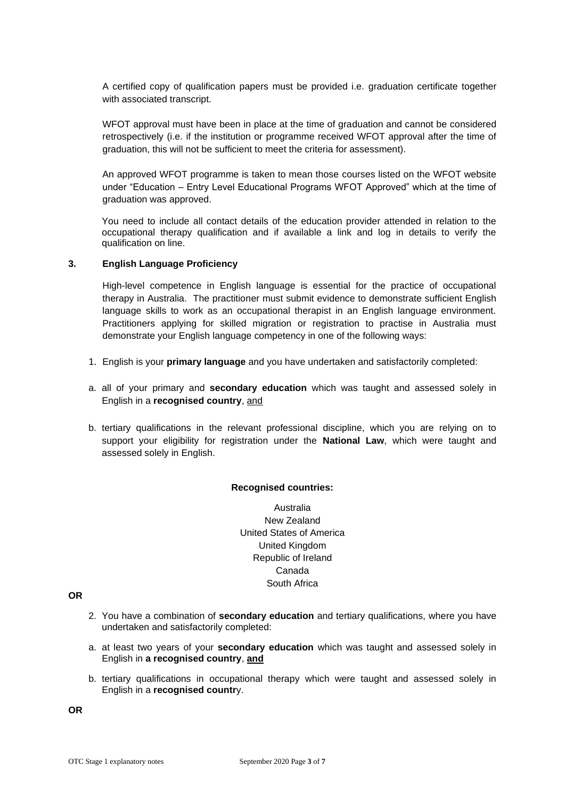A certified copy of qualification papers must be provided i.e. graduation certificate together with associated transcript.

WFOT approval must have been in place at the time of graduation and cannot be considered retrospectively (i.e. if the institution or programme received WFOT approval after the time of graduation, this will not be sufficient to meet the criteria for assessment).

An approved WFOT programme is taken to mean those courses listed on the WFOT website under "Education – Entry Level Educational Programs WFOT Approved" which at the time of graduation was approved.

You need to include all contact details of the education provider attended in relation to the occupational therapy qualification and if available a link and log in details to verify the qualification on line.

#### **3. English Language Proficiency**

High-level competence in English language is essential for the practice of occupational therapy in Australia. The practitioner must submit evidence to demonstrate sufficient English language skills to work as an occupational therapist in an English language environment. Practitioners applying for skilled migration or registration to practise in Australia must demonstrate your English language competency in one of the following ways:

- 1. English is your **primary language** and you have undertaken and satisfactorily completed:
- a. all of your primary and **secondary education** which was taught and assessed solely in English in a **recognised country**, and
- b. tertiary qualifications in the relevant professional discipline, which you are relying on to support your eligibility for registration under the **National Law**, which were taught and assessed solely in English.

#### **Recognised countries:**

Australia New Zealand United States of America United Kingdom Republic of Ireland Canada South Africa

## **OR**

- 2. You have a combination of **secondary education** and tertiary qualifications, where you have undertaken and satisfactorily completed:
- a. at least two years of your **secondary education** which was taught and assessed solely in English in **a recognised country**, **and**
- b. tertiary qualifications in occupational therapy which were taught and assessed solely in English in a **recognised countr**y.

**OR**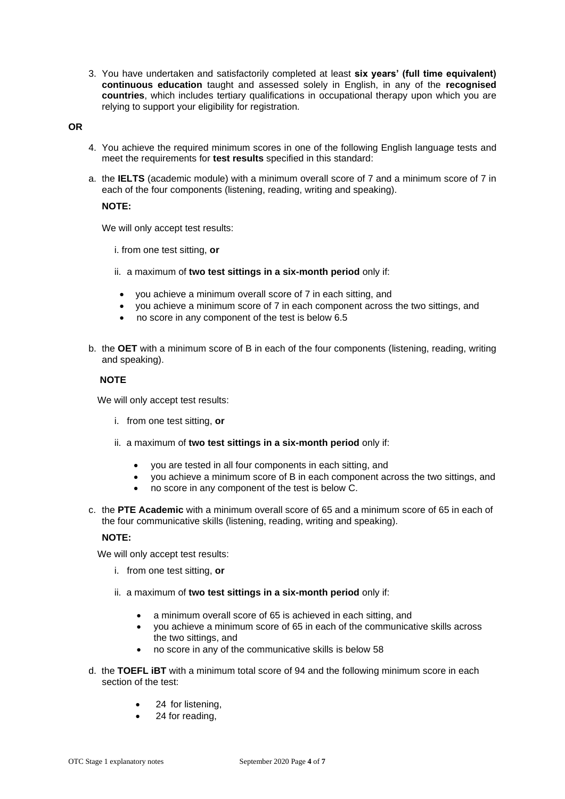3. You have undertaken and satisfactorily completed at least **six years' (full time equivalent) continuous education** taught and assessed solely in English, in any of the **recognised countries**, which includes tertiary qualifications in occupational therapy upon which you are relying to support your eligibility for registration*.*

#### **OR**

- 4. You achieve the required minimum scores in one of the following English language tests and meet the requirements for **test results** specified in this standard:
- a. the **IELTS** (academic module) with a minimum overall score of 7 and a minimum score of 7 in each of the four components (listening, reading, writing and speaking).

#### **NOTE:**

We will only accept test results:

i. from one test sitting, **or**

- ii. a maximum of **two test sittings in a six-month period** only if:
	- you achieve a minimum overall score of 7 in each sitting, and
- you achieve a minimum score of 7 in each component across the two sittings, and
- no score in any component of the test is below 6.5
- b. the **OET** with a minimum score of B in each of the four components (listening, reading, writing and speaking).

#### **NOTE**

We will only accept test results:

- i. from one test sitting, **or**
- ii. a maximum of **two test sittings in a six-month period** only if:
	- you are tested in all four components in each sitting, and
	- you achieve a minimum score of B in each component across the two sittings, and
	- no score in any component of the test is below C.
- c. the **PTE Academic** with a minimum overall score of 65 and a minimum score of 65 in each of the four communicative skills (listening, reading, writing and speaking).

#### **NOTE:**

We will only accept test results:

- i. from one test sitting, **or**
- ii. a maximum of **two test sittings in a six-month period** only if:
	- a minimum overall score of 65 is achieved in each sitting, and
	- you achieve a minimum score of 65 in each of the communicative skills across the two sittings, and
	- no score in any of the communicative skills is below 58
- d. the **TOEFL iBT** with a minimum total score of 94 and the following minimum score in each section of the test:
	- 24 for listening,
	- 24 for reading,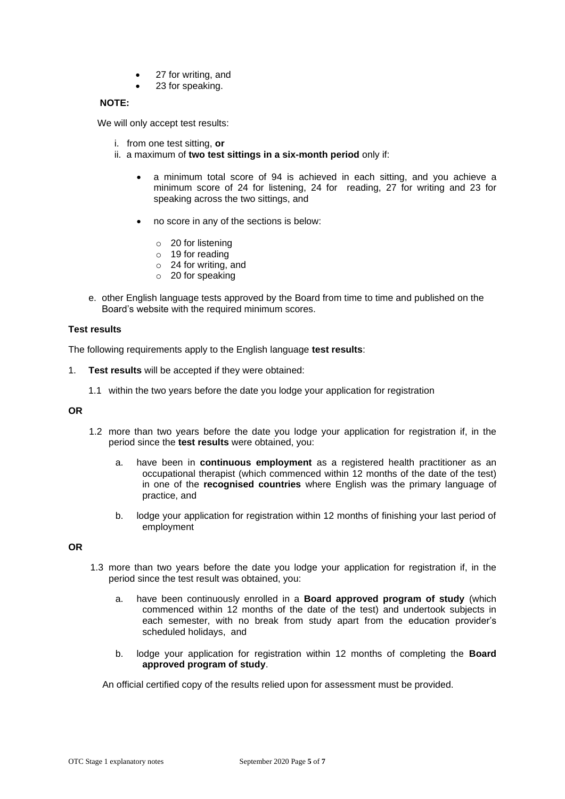- 27 for writing, and
- 23 for speaking.

## **NOTE:**

We will only accept test results:

- i. from one test sitting, **or**
- ii. a maximum of **two test sittings in a six-month period** only if:
	- a minimum total score of 94 is achieved in each sitting, and you achieve a minimum score of 24 for listening, 24 for reading, 27 for writing and 23 for speaking across the two sittings, and
	- no score in any of the sections is below:
		- o 20 for listening
		- o 19 for reading
		- o 24 for writing, and
		- $\circ$  20 for speaking
- e. other English language tests approved by the Board from time to time and published on the Board's website with the required minimum scores.

## **Test results**

The following requirements apply to the English language **test results**:

- 1. **Test results** will be accepted if they were obtained:
	- 1.1 within the two years before the date you lodge your application for registration

#### **OR**

- 1.2 more than two years before the date you lodge your application for registration if, in the period since the **test results** were obtained, you:
	- a. have been in **continuous employment** as a registered health practitioner as an occupational therapist (which commenced within 12 months of the date of the test) in one of the **recognised countries** where English was the primary language of practice, and
	- b. lodge your application for registration within 12 months of finishing your last period of employment

#### **OR**

- 1.3 more than two years before the date you lodge your application for registration if, in the period since the test result was obtained, you:
	- a. have been continuously enrolled in a **Board approved program of study** (which commenced within 12 months of the date of the test) and undertook subjects in each semester, with no break from study apart from the education provider's scheduled holidays, and
	- b. lodge your application for registration within 12 months of completing the **Board approved program of study**.

An official certified copy of the results relied upon for assessment must be provided.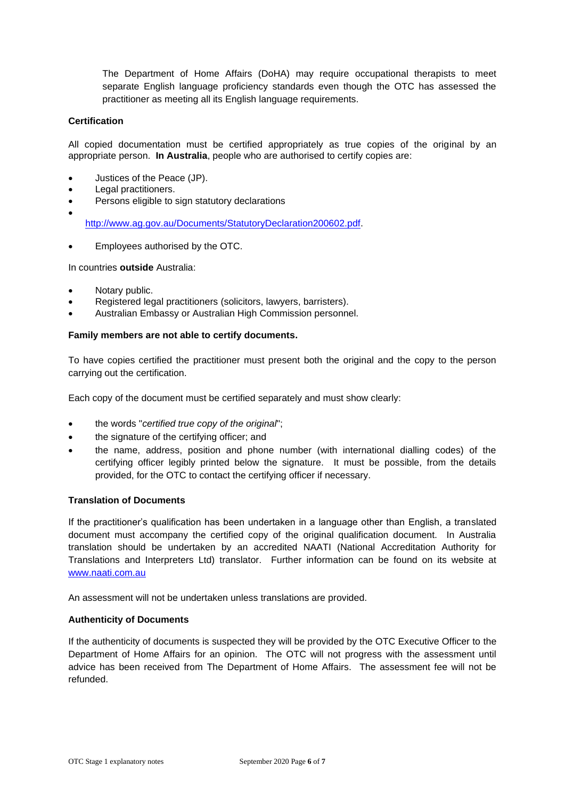The Department of Home Affairs (DoHA) may require occupational therapists to meet separate English language proficiency standards even though the OTC has assessed the practitioner as meeting all its English language requirements.

## **Certification**

•

All copied documentation must be certified appropriately as true copies of the original by an appropriate person. **In Australia**, people who are authorised to certify copies are:

- Justices of the Peace (JP).
- Legal practitioners.
- Persons eligible to sign statutory declarations

[http://www.ag.gov.au/Documents/StatutoryDeclaration200602.pdf.](http://www.ag.gov.au/Documents/StatutoryDeclaration200602.pdf)

• Employees authorised by the OTC.

In countries **outside** Australia:

- Notary public.
- Registered legal practitioners (solicitors, lawyers, barristers).
- Australian Embassy or Australian High Commission personnel.

#### **Family members are not able to certify documents.**

To have copies certified the practitioner must present both the original and the copy to the person carrying out the certification.

Each copy of the document must be certified separately and must show clearly:

- the words "*certified true copy of the original*";
- the signature of the certifying officer; and
- the name, address, position and phone number (with international dialling codes) of the certifying officer legibly printed below the signature. It must be possible, from the details provided, for the OTC to contact the certifying officer if necessary.

#### **Translation of Documents**

If the practitioner's qualification has been undertaken in a language other than English, a translated document must accompany the certified copy of the original qualification document. In Australia translation should be undertaken by an accredited NAATI (National Accreditation Authority for Translations and Interpreters Ltd) translator. Further information can be found on its website at [www.naati.com.au](http://www.naati.com.au/)

An assessment will not be undertaken unless translations are provided.

#### **Authenticity of Documents**

If the authenticity of documents is suspected they will be provided by the OTC Executive Officer to the Department of Home Affairs for an opinion. The OTC will not progress with the assessment until advice has been received from The Department of Home Affairs. The assessment fee will not be refunded.